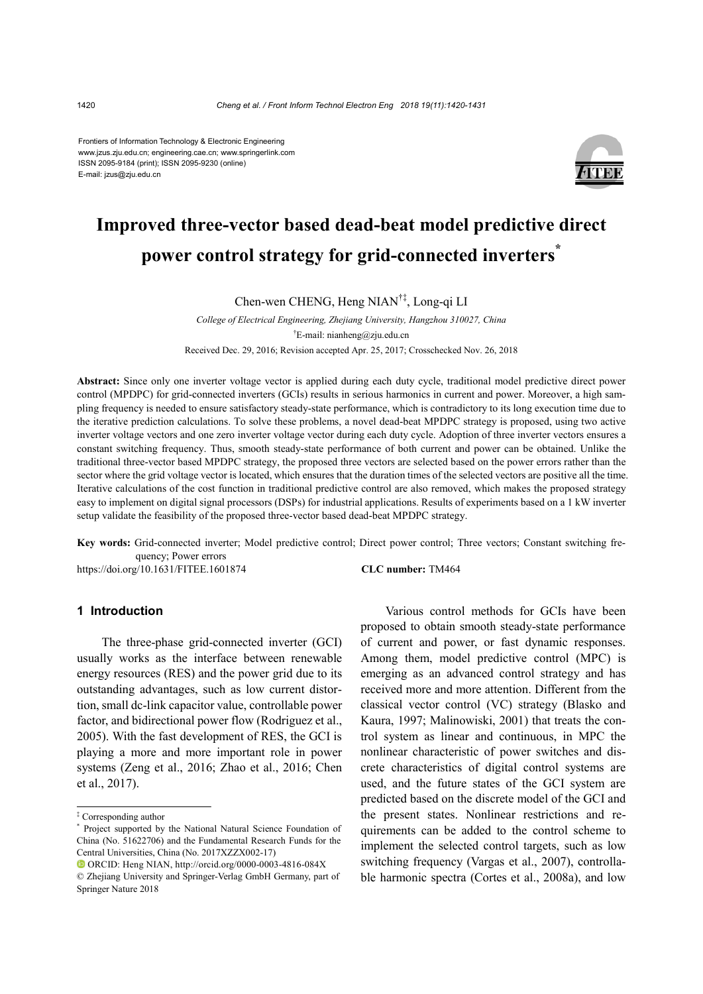Frontiers of Information Technology & Electronic Engineering www.jzus.zju.edu.cn; engineering.cae.cn; www.springerlink.com ISSN 2095-9184 (print); ISSN 2095-9230 (online) E-mail: jzus@zju.edu.cn



# **Improved three-vector based dead-beat model predictive direct power control strategy for grid-connected inverters\***

Chen-wen CHENG, Heng NIAN†‡, Long-qi LI

*College of Electrical Engineering, Zhejiang University, Hangzhou 310027, China* † E-mail: nianheng@zju.edu.cn Received Dec. 29, 2016; Revision accepted Apr. 25, 2017; Crosschecked Nov. 26, 2018

**Abstract:** Since only one inverter voltage vector is applied during each duty cycle, traditional model predictive direct power control (MPDPC) for grid-connected inverters (GCIs) results in serious harmonics in current and power. Moreover, a high sampling frequency is needed to ensure satisfactory steady-state performance, which is contradictory to its long execution time due to the iterative prediction calculations. To solve these problems, a novel dead-beat MPDPC strategy is proposed, using two active inverter voltage vectors and one zero inverter voltage vector during each duty cycle. Adoption of three inverter vectors ensures a constant switching frequency. Thus, smooth steady-state performance of both current and power can be obtained. Unlike the traditional three-vector based MPDPC strategy, the proposed three vectors are selected based on the power errors rather than the sector where the grid voltage vector is located, which ensures that the duration times of the selected vectors are positive all the time. Iterative calculations of the cost function in traditional predictive control are also removed, which makes the proposed strategy easy to implement on digital signal processors (DSPs) for industrial applications. Results of experiments based on a 1 kW inverter setup validate the feasibility of the proposed three-vector based dead-beat MPDPC strategy.

**Key words:** Grid-connected inverter; Model predictive control; Direct power control; Three vectors; Constant switching frequency; Power errors

https://doi.org/10.1631/FITEE.1601874 **CLC number:** TM464

# **1 Introduction**

The three-phase grid-connected inverter (GCI) usually works as the interface between renewable energy resources (RES) and the power grid due to its outstanding advantages, such as low current distortion, small dc-link capacitor value, controllable power factor, and bidirectional power flow (Rodriguez et al., 2005). With the fast development of RES, the GCI is playing a more and more important role in power systems (Zeng et al., 2016; Zhao et al., 2016; Chen et al., 2017).

Various control methods for GCIs have been proposed to obtain smooth steady-state performance of current and power, or fast dynamic responses. Among them, model predictive control (MPC) is emerging as an advanced control strategy and has received more and more attention. Different from the classical vector control (VC) strategy (Blasko and Kaura, 1997; Malinowiski, 2001) that treats the control system as linear and continuous, in MPC the nonlinear characteristic of power switches and discrete characteristics of digital control systems are used, and the future states of the GCI system are predicted based on the discrete model of the GCI and the present states. Nonlinear restrictions and requirements can be added to the control scheme to implement the selected control targets, such as low switching frequency (Vargas et al., 2007), controllable harmonic spectra (Cortes et al., 2008a), and low

<sup>‡</sup> Corresponding author

<sup>\*</sup> Project supported by the National Natural Science Foundation of China (No. 51622706) and the Fundamental Research Funds for the Central Universities, China (No. 2017XZZX002-17)

ORCID: Heng NIAN[, http://orcid.org/0](http://orcid.org/0000-0002-6574-1542)000-0003-4816-084X © Zhejiang University and Springer-Verlag GmbH Germany, part of Springer Nature 2018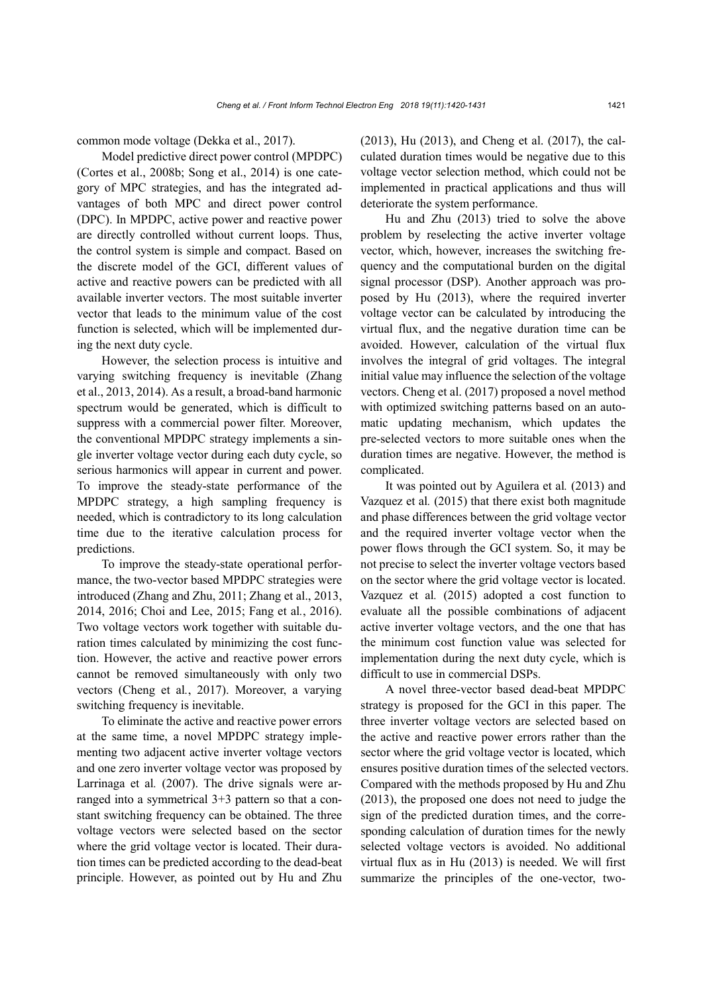common mode voltage (Dekka et al., 2017).

Model predictive direct power control (MPDPC) (Cortes et al., 2008b; Song et al., 2014) is one category of MPC strategies, and has the integrated advantages of both MPC and direct power control (DPC). In MPDPC, active power and reactive power are directly controlled without current loops. Thus, the control system is simple and compact. Based on the discrete model of the GCI, different values of active and reactive powers can be predicted with all available inverter vectors. The most suitable inverter vector that leads to the minimum value of the cost function is selected, which will be implemented during the next duty cycle.

However, the selection process is intuitive and varying switching frequency is inevitable (Zhang et al., 2013, 2014). As a result, a broad-band harmonic spectrum would be generated, which is difficult to suppress with a commercial power filter. Moreover, the conventional MPDPC strategy implements a single inverter voltage vector during each duty cycle, so serious harmonics will appear in current and power. To improve the steady-state performance of the MPDPC strategy, a high sampling frequency is needed, which is contradictory to its long calculation time due to the iterative calculation process for predictions.

To improve the steady-state operational performance, the two-vector based MPDPC strategies were introduced (Zhang and Zhu, 2011; Zhang et al., 2013, 2014, 2016; Choi and Lee, 2015; Fang et al*.*, 2016). Two voltage vectors work together with suitable duration times calculated by minimizing the cost function. However, the active and reactive power errors cannot be removed simultaneously with only two vectors (Cheng et al*.*, 2017). Moreover, a varying switching frequency is inevitable.

To eliminate the active and reactive power errors at the same time, a novel MPDPC strategy implementing two adjacent active inverter voltage vectors and one zero inverter voltage vector was proposed by Larrinaga et al*.* (2007). The drive signals were arranged into a symmetrical 3+3 pattern so that a constant switching frequency can be obtained. The three voltage vectors were selected based on the sector where the grid voltage vector is located. Their duration times can be predicted according to the dead-beat principle. However, as pointed out by Hu and Zhu

(2013), Hu (2013), and Cheng et al. (2017), the calculated duration times would be negative due to this voltage vector selection method, which could not be implemented in practical applications and thus will deteriorate the system performance.

Hu and Zhu (2013) tried to solve the above problem by reselecting the active inverter voltage vector, which, however, increases the switching frequency and the computational burden on the digital signal processor (DSP). Another approach was proposed by Hu (2013), where the required inverter voltage vector can be calculated by introducing the virtual flux, and the negative duration time can be avoided. However, calculation of the virtual flux involves the integral of grid voltages. The integral initial value may influence the selection of the voltage vectors. Cheng et al. (2017) proposed a novel method with optimized switching patterns based on an automatic updating mechanism, which updates the pre-selected vectors to more suitable ones when the duration times are negative. However, the method is complicated.

It was pointed out by Aguilera et al*.* (2013) and Vazquez et al*.* (2015) that there exist both magnitude and phase differences between the grid voltage vector and the required inverter voltage vector when the power flows through the GCI system. So, it may be not precise to select the inverter voltage vectors based on the sector where the grid voltage vector is located. Vazquez et al*.* (2015) adopted a cost function to evaluate all the possible combinations of adjacent active inverter voltage vectors, and the one that has the minimum cost function value was selected for implementation during the next duty cycle, which is difficult to use in commercial DSPs.

A novel three-vector based dead-beat MPDPC strategy is proposed for the GCI in this paper. The three inverter voltage vectors are selected based on the active and reactive power errors rather than the sector where the grid voltage vector is located, which ensures positive duration times of the selected vectors. Compared with the methods proposed by Hu and Zhu (2013), the proposed one does not need to judge the sign of the predicted duration times, and the corresponding calculation of duration times for the newly selected voltage vectors is avoided. No additional virtual flux as in Hu (2013) is needed. We will first summarize the principles of the one-vector, two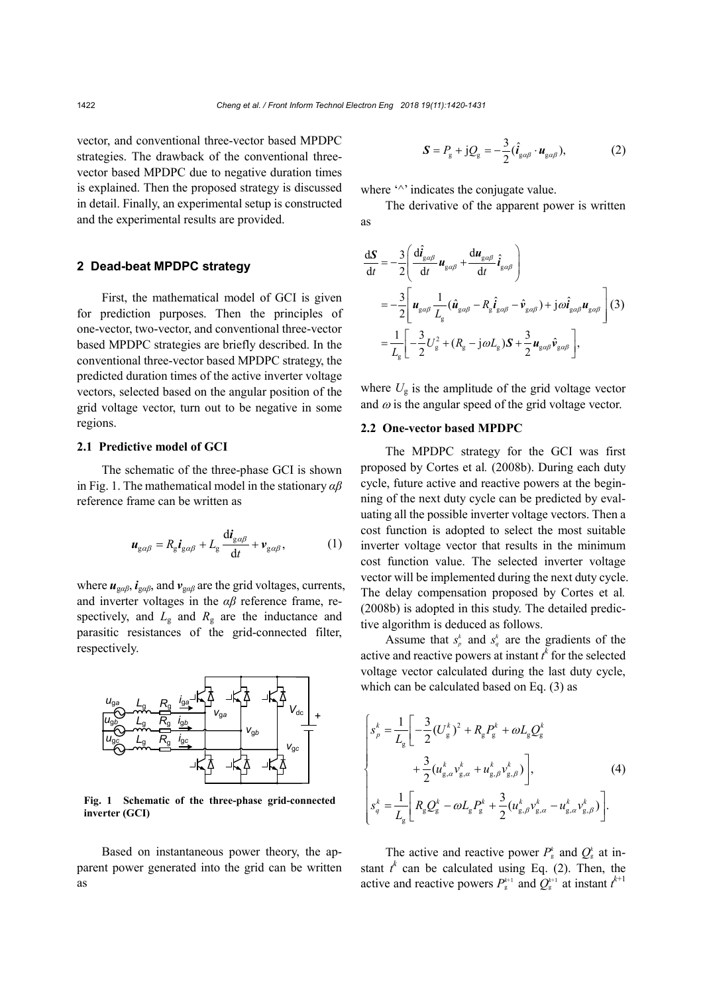vector, and conventional three-vector based MPDPC strategies. The drawback of the conventional threevector based MPDPC due to negative duration times is explained. Then the proposed strategy is discussed in detail. Finally, an experimental setup is constructed and the experimental results are provided.

# **2 Dead-beat MPDPC strategy**

First, the mathematical model of GCI is given for prediction purposes. Then the principles of one-vector, two-vector, and conventional three-vector based MPDPC strategies are briefly described. In the conventional three-vector based MPDPC strategy, the predicted duration times of the active inverter voltage vectors, selected based on the angular position of the grid voltage vector, turn out to be negative in some regions.

## **2.1 Predictive model of GCI**

The schematic of the three-phase GCI is shown in Fig. 1. The mathematical model in the stationary *αβ* reference frame can be written as

$$
\boldsymbol{u}_{g\alpha\beta} = R_g \boldsymbol{i}_{g\alpha\beta} + L_g \frac{d\boldsymbol{i}_{g\alpha\beta}}{dt} + \boldsymbol{v}_{g\alpha\beta},
$$
 (1)

where *u*g*αβ*, *i*g*αβ*, and *v*g*αβ* are the grid voltages, currents, and inverter voltages in the *αβ* reference frame, respectively, and  $L_g$  and  $R_g$  are the inductance and parasitic resistances of the grid-connected filter, respectively.



**Fig. 1 Schematic of the three-phase grid-connected inverter (GCI)**

Based on instantaneous power theory, the apparent power generated into the grid can be written as

$$
\mathbf{S} = P_{\mathrm{g}} + \mathrm{j}Q_{\mathrm{g}} = -\frac{3}{2}(\hat{\boldsymbol{i}}_{\mathrm{g}\alpha\beta} \cdot \boldsymbol{u}_{\mathrm{g}\alpha\beta}),\tag{2}
$$

where  $\sim$  indicates the conjugate value.

The derivative of the apparent power is written as

$$
\frac{dS}{dt} = -\frac{3}{2} \left( \frac{d\hat{i}_{g\alpha\beta}}{dt} u_{g\alpha\beta} + \frac{d u_{g\alpha\beta}}{dt} \hat{i}_{g\alpha\beta} \right)
$$
  
\n
$$
= -\frac{3}{2} \left[ u_{g\alpha\beta} \frac{1}{L_g} (\hat{u}_{g\alpha\beta} - R_g \hat{i}_{g\alpha\beta} - \hat{v}_{g\alpha\beta}) + j \omega \hat{i}_{g\alpha\beta} u_{g\alpha\beta} \right] (3)
$$
  
\n
$$
= \frac{1}{L_g} \left[ -\frac{3}{2} U_g^2 + (R_g - j \omega L_g) S + \frac{3}{2} u_{g\alpha\beta} \hat{v}_{g\alpha\beta} \right],
$$

where  $U_{\rm g}$  is the amplitude of the grid voltage vector and  $\omega$  is the angular speed of the grid voltage vector.

### **2.2 One-vector based MPDPC**

The MPDPC strategy for the GCI was first proposed by Cortes et al*.* (2008b). During each duty cycle, future active and reactive powers at the beginning of the next duty cycle can be predicted by evaluating all the possible inverter voltage vectors. Then a cost function is adopted to select the most suitable inverter voltage vector that results in the minimum cost function value. The selected inverter voltage vector will be implemented during the next duty cycle. The delay compensation proposed by Cortes et al*.* (2008b) is adopted in this study. The detailed predictive algorithm is deduced as follows.

Assume that  $s_p^k$  and  $s_q^k$  are the gradients of the active and reactive powers at instant  $t^k$  for the selected voltage vector calculated during the last duty cycle, which can be calculated based on Eq. (3) as

$$
\begin{cases}\ns_p^k = \frac{1}{L_g} \left[ -\frac{3}{2} (U_g^k)^2 + R_g P_g^k + \omega L_g Q_g^k \right. \\
\left. + \frac{3}{2} (u_{g,\alpha}^k v_{g,\alpha}^k + u_{g,\beta}^k v_{g,\beta}^k) \right], \\
s_q^k = \frac{1}{L_g} \left[ R_g Q_g^k - \omega L_g P_g^k + \frac{3}{2} (u_{g,\beta}^k v_{g,\alpha}^k - u_{g,\alpha}^k v_{g,\beta}^k) \right].\n\end{cases} \tag{4}
$$

The active and reactive power  $P_{\rm g}^k$  and  $Q_{\rm g}^k$  at instant  $t^k$  can be calculated using Eq. (2). Then, the active and reactive powers  $P_{g}^{k+1}$  and  $Q_{g}^{k+1}$  at instant  $t^{k+1}$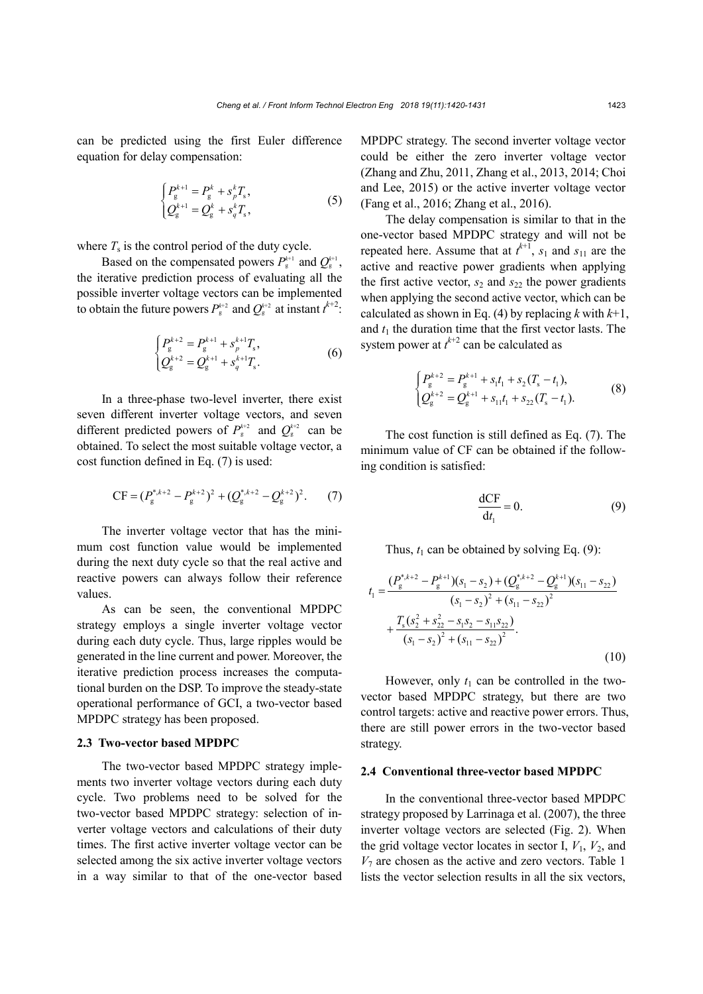can be predicted using the first Euler difference equation for delay compensation:

$$
\begin{cases} P_{\rm g}^{k+1} = P_{\rm g}^k + s_p^k T_{\rm s}, \\ Q_{\rm g}^{k+1} = Q_{\rm g}^k + s_q^k T_{\rm s}, \end{cases} \tag{5}
$$

where  $T_s$  is the control period of the duty cycle.

Based on the compensated powers  $P_{g}^{k+1}$  and  $Q_{g}^{k+1}$ , the iterative prediction process of evaluating all the possible inverter voltage vectors can be implemented to obtain the future powers  $P_{g}^{k+2}$  and  $Q_{g}^{k+2}$  at instant  $t^{k+2}$ .

$$
\begin{cases}\nP_g^{k+2} = P_g^{k+1} + s_p^{k+1} T_s, \\
Q_g^{k+2} = Q_g^{k+1} + s_q^{k+1} T_s.\n\end{cases}
$$
\n(6)

In a three-phase two-level inverter, there exist seven different inverter voltage vectors, and seven different predicted powers of  $P_{\rm g}^{k+2}$  and  $Q_{\rm g}^{k+2}$  can be obtained. To select the most suitable voltage vector, a cost function defined in Eq. (7) is used:

$$
\text{CF} = (P_{\text{g}}^{*,k+2} - P_{\text{g}}^{k+2})^2 + (Q_{\text{g}}^{*,k+2} - Q_{\text{g}}^{k+2})^2. \tag{7}
$$

The inverter voltage vector that has the minimum cost function value would be implemented during the next duty cycle so that the real active and reactive powers can always follow their reference values.

As can be seen, the conventional MPDPC strategy employs a single inverter voltage vector during each duty cycle. Thus, large ripples would be generated in the line current and power. Moreover, the iterative prediction process increases the computational burden on the DSP. To improve the steady-state operational performance of GCI, a two-vector based MPDPC strategy has been proposed.

## **2.3 Two-vector based MPDPC**

The two-vector based MPDPC strategy implements two inverter voltage vectors during each duty cycle. Two problems need to be solved for the two-vector based MPDPC strategy: selection of inverter voltage vectors and calculations of their duty times. The first active inverter voltage vector can be selected among the six active inverter voltage vectors in a way similar to that of the one-vector based

MPDPC strategy. The second inverter voltage vector could be either the zero inverter voltage vector (Zhang and Zhu, 2011, Zhang et al., 2013, 2014; Choi and Lee, 2015) or the active inverter voltage vector (Fang et al., 2016; Zhang et al., 2016).

The delay compensation is similar to that in the one-vector based MPDPC strategy and will not be repeated here. Assume that at  $t^{k+1}$ ,  $s_1$  and  $s_{11}$  are the active and reactive power gradients when applying the first active vector,  $s_2$  and  $s_{22}$  the power gradients when applying the second active vector, which can be calculated as shown in Eq. (4) by replacing  $k$  with  $k+1$ , and  $t_1$  the duration time that the first vector lasts. The system power at  $t^{k+2}$  can be calculated as

$$
\begin{cases}\nP_g^{k+2} = P_g^{k+1} + s_1 t_1 + s_2 (T_s - t_1), \\
Q_g^{k+2} = Q_g^{k+1} + s_{11} t_1 + s_{22} (T_s - t_1).\n\end{cases} \tag{8}
$$

The cost function is still defined as Eq. (7). The minimum value of CF can be obtained if the following condition is satisfied:

$$
\frac{\text{dCF}}{\text{d}t_1} = 0. \tag{9}
$$

Thus,  $t_1$  can be obtained by solving Eq. (9):

$$
t_{1} = \frac{(P_{g}^{*,k+2} - P_{g}^{k+1})(s_{1} - s_{2}) + (Q_{g}^{*,k+2} - Q_{g}^{k+1})(s_{11} - s_{22})}{(s_{1} - s_{2})^{2} + (s_{11} - s_{22})^{2}} + \frac{T_{s}(s_{2}^{2} + s_{22}^{2} - s_{1}s_{2} - s_{11}s_{22})}{(s_{1} - s_{2})^{2} + (s_{11} - s_{22})^{2}}.
$$
\n(10)

However, only  $t_1$  can be controlled in the twovector based MPDPC strategy, but there are two control targets: active and reactive power errors. Thus, there are still power errors in the two-vector based strategy.

#### **2.4 Conventional three-vector based MPDPC**

In the conventional three-vector based MPDPC strategy proposed by Larrinaga et al. (2007), the three inverter voltage vectors are selected (Fig. 2). When the grid voltage vector locates in sector I,  $V_1$ ,  $V_2$ , and  $V<sub>7</sub>$  are chosen as the active and zero vectors. Table 1 lists the vector selection results in all the six vectors,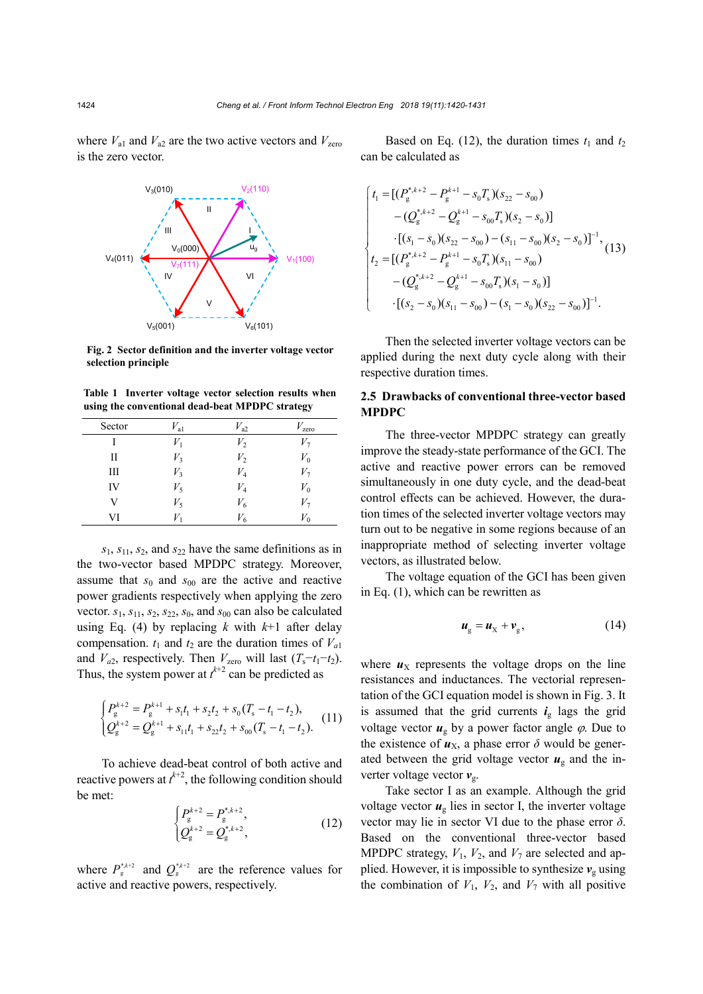where  $V_{\text{a1}}$  and  $V_{\text{a2}}$  are the two active vectors and  $V_{\text{zero}}$ is the zero vector.



**Fig. 2 Sector definition and the inverter voltage vector selection principle**

**Table 1 Inverter voltage vector selection results when using the conventional dead-beat MPDPC strategy**

| Sector | $V_{\rm a1}$ | $V_{a2}$       | $V_{\rm zero}$ |
|--------|--------------|----------------|----------------|
|        | $V_1$        | $V_{2}$        | V7             |
| П      | $V_3$        | V <sub>2</sub> | $V_0$          |
| Ш      | $V_3$        | $V_{4}$        | $V_{\tau}$     |
| IV     | $V_5$        | $V_{4}$        | $V_0$          |
| V      | $V_5$        | $V_6$          | V7             |
| VI     | v,           | V6             | $V_0$          |

 $s_1$ ,  $s_1$ ,  $s_2$ , and  $s_2$  have the same definitions as in the two-vector based MPDPC strategy. Moreover, assume that  $s_0$  and  $s_{00}$  are the active and reactive power gradients respectively when applying the zero vector.  $s_1$ ,  $s_{11}$ ,  $s_2$ ,  $s_{22}$ ,  $s_0$ , and  $s_{00}$  can also be calculated using Eq. (4) by replacing  $k$  with  $k+1$  after delay compensation.  $t_1$  and  $t_2$  are the duration times of  $V_{a1}$ and  $V_{a2}$ , respectively. Then  $V_{\text{zero}}$  will last  $(T_s-t_1-t_2)$ . Thus, the system power at  $t^{k+2}$  can be predicted as

$$
\begin{cases} P_{\rm g}^{k+2} = P_{\rm g}^{k+1} + s_1 t_1 + s_2 t_2 + s_0 (T_{\rm s} - t_1 - t_2), \\ Q_{\rm g}^{k+2} = Q_{\rm g}^{k+1} + s_{11} t_1 + s_{22} t_2 + s_{00} (T_{\rm s} - t_1 - t_2). \end{cases} (11)
$$

To achieve dead-beat control of both active and reactive powers at  $t^{k+2}$ , the following condition should be met:

$$
\begin{cases} P_{\rm g}^{k+2} = P_{\rm g}^{*,k+2}, \\ Q_{\rm g}^{k+2} = Q_{\rm g}^{*,k+2}, \end{cases} \tag{12}
$$

where  $P_{g}^{*,k+2}$  and  $Q_{g}^{*,k+2}$  are the reference values for active and reactive powers, respectively.

Based on Eq. (12), the duration times  $t_1$  and  $t_2$ can be calculated as

$$
\begin{cases}\nt_1 = [(P_g^{*,k+2} - P_g^{k+1} - s_0 T_s)(s_{22} - s_{00}) \\
-(Q_g^{*,k+2} - Q_g^{k+1} - s_{00} T_s)(s_2 - s_0)] \\
\cdot [(s_1 - s_0)(s_{22} - s_{00}) - (s_{11} - s_{00})(s_2 - s_0)]^{-1}, \\
t_2 = [(P_g^{*,k+2} - P_g^{k+1} - s_0 T_s)(s_{11} - s_{00}) \\
-(Q_g^{*,k+2} - Q_g^{k+1} - s_{00} T_s)(s_1 - s_0)] \\
\cdot [(s_2 - s_0)(s_{11} - s_{00}) - (s_1 - s_0)(s_{22} - s_{00})]^{-1}.\n\end{cases} (13)
$$

Then the selected inverter voltage vectors can be applied during the next duty cycle along with their respective duration times.

# **2.5 Drawbacks of conventional three-vector based MPDPC**

The three-vector MPDPC strategy can greatly improve the steady-state performance of the GCI. The active and reactive power errors can be removed simultaneously in one duty cycle, and the dead-beat control effects can be achieved. However, the duration times of the selected inverter voltage vectors may turn out to be negative in some regions because of an inappropriate method of selecting inverter voltage vectors, as illustrated below.

The voltage equation of the GCI has been given in Eq. (1), which can be rewritten as

$$
\boldsymbol{u}_{\rm g} = \boldsymbol{u}_{\rm X} + \boldsymbol{v}_{\rm g},\tag{14}
$$

where  $u_X$  represents the voltage drops on the line resistances and inductances. The vectorial representation of the GCI equation model is shown in Fig. 3. It is assumed that the grid currents  $\boldsymbol{i}_{g}$  lags the grid voltage vector  $u_{\rm g}$  by a power factor angle  $\varphi$ . Due to the existence of  $u_{\text{X}}$ , a phase error  $\delta$  would be generated between the grid voltage vector  $u_{\rm g}$  and the inverter voltage vector  $v_{\rm g}$ .

Take sector I as an example. Although the grid voltage vector  $u_{\rm g}$  lies in sector I, the inverter voltage vector may lie in sector VI due to the phase error *δ*. Based on the conventional three-vector based MPDPC strategy,  $V_1$ ,  $V_2$ , and  $V_7$  are selected and applied. However, it is impossible to synthesize  $v_{\rm g}$  using the combination of  $V_1$ ,  $V_2$ , and  $V_7$  with all positive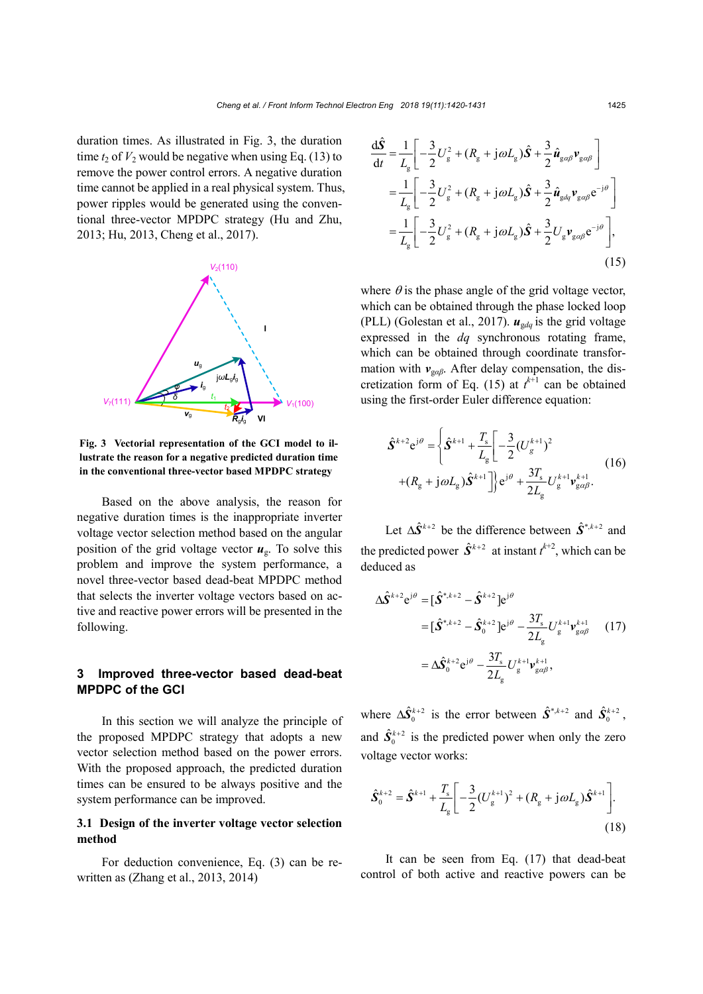duration times. As illustrated in Fig. 3, the duration time  $t_2$  of  $V_2$  would be negative when using Eq. (13) to remove the power control errors. A negative duration time cannot be applied in a real physical system. Thus, power ripples would be generated using the conventional three-vector MPDPC strategy (Hu and Zhu, 2013; Hu, 2013, Cheng et al., 2017).



**Fig. 3 Vectorial representation of the GCI model to illustrate the reason for a negative predicted duration time in the conventional three-vector based MPDPC strategy**

Based on the above analysis, the reason for negative duration times is the inappropriate inverter voltage vector selection method based on the angular position of the grid voltage vector  $u_{\rm g}$ . To solve this problem and improve the system performance, a novel three-vector based dead-beat MPDPC method that selects the inverter voltage vectors based on active and reactive power errors will be presented in the following.

# **3 Improved three-vector based dead-beat MPDPC of the GCI**

In this section we will analyze the principle of the proposed MPDPC strategy that adopts a new vector selection method based on the power errors. With the proposed approach, the predicted duration times can be ensured to be always positive and the system performance can be improved.

# **3.1 Design of the inverter voltage vector selection method**

For deduction convenience, Eq. (3) can be rewritten as (Zhang et al., 2013, 2014)

$$
\frac{\mathrm{d}\hat{\mathbf{S}}}{\mathrm{d}t} = \frac{1}{L_{\mathrm{g}}} \left[ -\frac{3}{2} U_{\mathrm{g}}^2 + (R_{\mathrm{g}} + \mathrm{j} \omega L_{\mathrm{g}}) \hat{\mathbf{S}} + \frac{3}{2} \hat{\mathbf{u}}_{\mathrm{g}\alpha\beta} \mathbf{v}_{\mathrm{g}\alpha\beta} \right]
$$
\n
$$
= \frac{1}{L_{\mathrm{g}}} \left[ -\frac{3}{2} U_{\mathrm{g}}^2 + (R_{\mathrm{g}} + \mathrm{j} \omega L_{\mathrm{g}}) \hat{\mathbf{S}} + \frac{3}{2} \hat{\mathbf{u}}_{\mathrm{g}dq} \mathbf{v}_{\mathrm{g}\alpha\beta} \mathrm{e}^{-\mathrm{j}\theta} \right]
$$
\n
$$
= \frac{1}{L_{\mathrm{g}}} \left[ -\frac{3}{2} U_{\mathrm{g}}^2 + (R_{\mathrm{g}} + \mathrm{j} \omega L_{\mathrm{g}}) \hat{\mathbf{S}} + \frac{3}{2} U_{\mathrm{g}} \mathbf{v}_{\mathrm{g}\alpha\beta} \mathrm{e}^{-\mathrm{j}\theta} \right], \tag{15}
$$

where  $\theta$  is the phase angle of the grid voltage vector, which can be obtained through the phase locked loop (PLL) (Golestan et al., 2017). *u*g*dq* is the grid voltage expressed in the *dq* synchronous rotating frame, which can be obtained through coordinate transformation with *v*<sub>gαβ</sub>. After delay compensation, the discretization form of Eq. (15) at  $t^{k+1}$  can be obtained using the first-order Euler difference equation:

$$
\hat{S}^{k+2}e^{j\theta} = \left\{\hat{S}^{k+1} + \frac{T_s}{L_g} \left[ -\frac{3}{2} (U_g^{k+1})^2 + (R_g + j\omega L_g) \hat{S}^{k+1} \right] \right\} e^{j\theta} + \frac{3T_s}{2L_g} U_g^{k+1} \mathbf{v}_{g\alpha\beta}^{k+1}.
$$
\n(16)

Let  $\Delta \hat{S}^{k+2}$  be the difference between  $\hat{S}^{k,k+2}$  and the predicted power  $\hat{S}^{k+2}$  at instant  $t^{k+2}$ , which can be deduced as

$$
\Delta \hat{S}^{k+2} e^{j\theta} = [\hat{S}^{*,k+2} - \hat{S}^{k+2}] e^{j\theta}
$$
  
\n
$$
= [\hat{S}^{*,k+2} - \hat{S}^{k+2}] e^{j\theta} - \frac{3T_s}{2L_g} U_g^{k+1} v_{g\alpha\beta}^{k+1}
$$
 (17)  
\n
$$
= \Delta \hat{S}_0^{k+2} e^{j\theta} - \frac{3T_s}{2L_g} U_g^{k+1} v_{g\alpha\beta}^{k+1},
$$

where  $\Delta \hat{S}_0^{k+2}$  is the error between  $\hat{S}^{k,k+2}$  and  $\hat{S}_0^{k+2}$ , and  $\hat{S}_0^{k+2}$  is the predicted power when only the zero voltage vector works:

$$
\hat{S}_0^{k+2} = \hat{S}^{k+1} + \frac{T_s}{L_g} \left[ -\frac{3}{2} (U_g^{k+1})^2 + (R_g + j\omega L_g) \hat{S}^{k+1} \right].
$$
\n(18)

It can be seen from Eq. (17) that dead-beat control of both active and reactive powers can be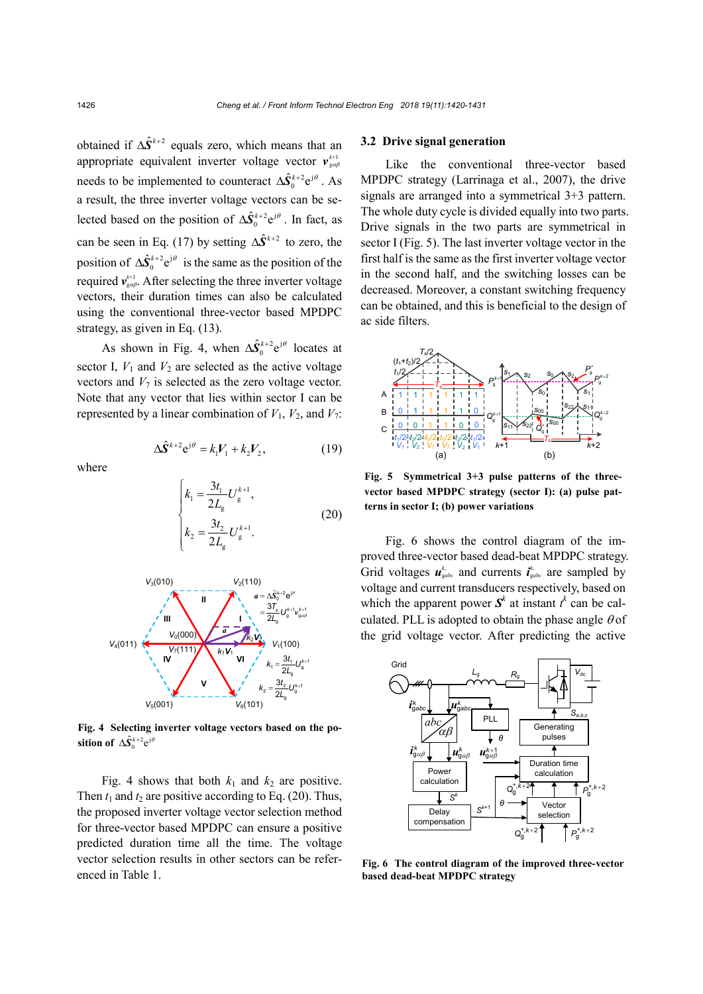obtained if  $\Delta \hat{S}^{k+2}$  equals zero, which means that an appropriate equivalent inverter voltage vector  $v_{\text{gap}}^{k+1}$ needs to be implemented to counteract  $\Delta \hat{S}_0^{k+2} e^{j\theta}$ . As a result, the three inverter voltage vectors can be selected based on the position of  $\Delta \hat{S}_0^{k+2} e^{j\theta}$ . In fact, as can be seen in Eq. (17) by setting  $\Delta \hat{S}^{k+2}$  to zero, the position of  $\Delta \hat{S}_0^{k+2} e^{j\theta}$  is the same as the position of the required  $v_{\text{gap}}^{k+1}$ . After selecting the three inverter voltage vectors, their duration times can also be calculated using the conventional three-vector based MPDPC strategy, as given in Eq. (13).

As shown in Fig. 4, when  $\Delta \hat{S}_0^{k+2} e^{j\theta}$  locates at sector I,  $V_1$  and  $V_2$  are selected as the active voltage vectors and  $V_7$  is selected as the zero voltage vector. Note that any vector that lies within sector I can be represented by a linear combination of  $V_1$ ,  $V_2$ , and  $V_7$ :

$$
\Delta \hat{\mathbf{S}}^{k+2} \mathbf{e}^{j\theta} = k_1 V_1 + k_2 V_2, \qquad (19)
$$

where

$$
\begin{cases}\nk_1 = \frac{3t_1}{2L_g} U_g^{k+1}, \\
k_2 = \frac{3t_2}{2L_g} U_g^{k+1}.\n\end{cases}
$$
\n(20)



**Fig. 4 Selecting inverter voltage vectors based on the position of**  $\Delta \hat{\mathbf{S}}_0^{k+2} e^{j\theta}$ 

Fig. 4 shows that both  $k_1$  and  $k_2$  are positive. Then  $t_1$  and  $t_2$  are positive according to Eq. (20). Thus, the proposed inverter voltage vector selection method for three-vector based MPDPC can ensure a positive predicted duration time all the time. The voltage vector selection results in other sectors can be referenced in Table 1.

# **3.2 Drive signal generation**

Like the conventional three-vector based MPDPC strategy (Larrinaga et al., 2007), the drive signals are arranged into a symmetrical 3+3 pattern. The whole duty cycle is divided equally into two parts. Drive signals in the two parts are symmetrical in sector I (Fig. 5). The last inverter voltage vector in the first half is the same as the first inverter voltage vector in the second half, and the switching losses can be decreased. Moreover, a constant switching frequency can be obtained, and this is beneficial to the design of ac side filters.



**Fig. 5 Symmetrical 3+3 pulse patterns of the threevector based MPDPC strategy (sector I): (a) pulse patterns in sector I; (b) power variations**

Fig. 6 shows the control diagram of the improved three-vector based dead-beat MPDPC strategy. Grid voltages  $u_{\text{gabc}}^k$  and currents  $\dot{t}_{\text{gabc}}^k$  are sampled by voltage and current transducers respectively, based on which the apparent power  $S^k$  at instant  $t^k$  can be calculated. PLL is adopted to obtain the phase angle  $\theta$  of the grid voltage vector. After predicting the active



**Fig. 6 The control diagram of the improved three-vector based dead-beat MPDPC strategy**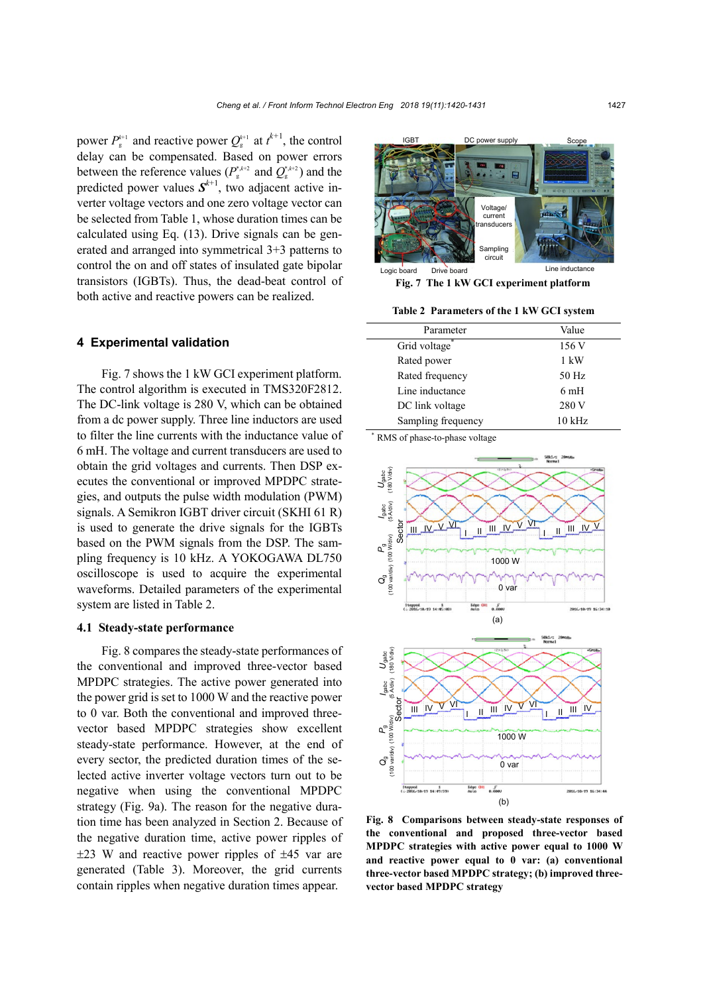power  $P_{g}^{k+1}$  and reactive power  $Q_{g}^{k+1}$  at  $t^{k+1}$ , the control delay can be compensated. Based on power errors between the reference values ( $P_s^{*,k+2}$  and  $Q_s^{*,k+2}$ ) and the predicted power values  $S^{k+1}$ , two adjacent active inverter voltage vectors and one zero voltage vector can be selected from Table 1, whose duration times can be calculated using Eq. (13). Drive signals can be generated and arranged into symmetrical 3+3 patterns to control the on and off states of insulated gate bipolar transistors (IGBTs). Thus, the dead-beat control of both active and reactive powers can be realized.

## **4 Experimental validation**

Fig. 7 shows the 1 kW GCI experiment platform. The control algorithm is executed in TMS320F2812. The DC-link voltage is 280 V, which can be obtained from a dc power supply. Three line inductors are used to filter the line currents with the inductance value of 6 mH. The voltage and current transducers are used to obtain the grid voltages and currents. Then DSP executes the conventional or improved MPDPC strategies, and outputs the pulse width modulation (PWM) signals. A Semikron IGBT driver circuit (SKHI 61 R) is used to generate the drive signals for the IGBTs based on the PWM signals from the DSP. The sampling frequency is 10 kHz. A YOKOGAWA DL750 oscilloscope is used to acquire the experimental waveforms. Detailed parameters of the experimental system are listed in Table 2.

### **4.1 Steady-state performance**

Fig. 8 compares the steady-state performances of the conventional and improved three-vector based MPDPC strategies. The active power generated into the power grid is set to 1000 W and the reactive power to 0 var. Both the conventional and improved threevector based MPDPC strategies show excellent steady-state performance. However, at the end of every sector, the predicted duration times of the selected active inverter voltage vectors turn out to be negative when using the conventional MPDPC strategy (Fig. 9a). The reason for the negative duration time has been analyzed in Section 2. Because of the negative duration time, active power ripples of  $\pm 23$  W and reactive power ripples of  $\pm 45$  var are generated (Table 3). Moreover, the grid currents contain ripples when negative duration times appear.



**Fig. 7 The 1 kW GCI experiment platform**

**Table 2 Parameters of the 1 kW GCI system**

| Parameter          | Value          |  |
|--------------------|----------------|--|
| Grid voltage*      | 156V           |  |
| Rated power        | $1 \text{ kW}$ |  |
| Rated frequency    | $50$ Hz        |  |
| Line inductance    | 6mH            |  |
| DC link voltage    | 280 V          |  |
| Sampling frequency | $10$ kHz       |  |

\* RMS of phase-to-phase voltage



**Fig. 8 Comparisons between steady-state responses of the conventional and proposed three-vector based MPDPC strategies with active power equal to 1000 W and reactive power equal to 0 var: (a) conventional three-vector based MPDPC strategy; (b) improved threevector based MPDPC strategy**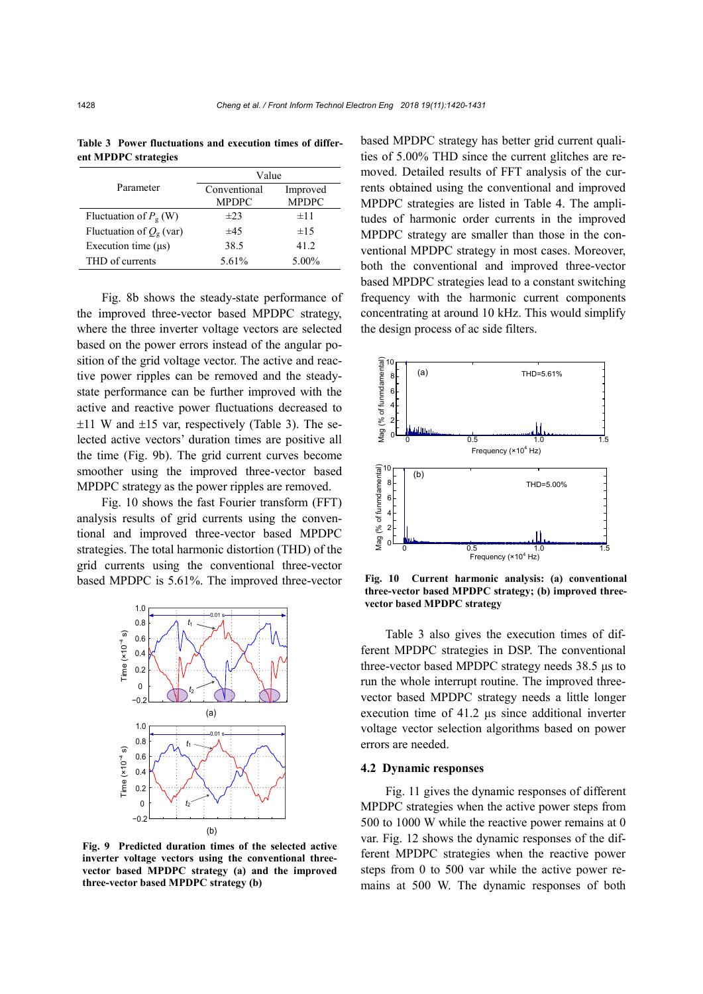|                                  | Value                        |                          |  |
|----------------------------------|------------------------------|--------------------------|--|
| Parameter                        | Conventional<br><b>MPDPC</b> | Improved<br><b>MPDPC</b> |  |
| Fluctuation of $P_{\rm g}$ (W)   | $\pm 23$                     | ±11                      |  |
| Fluctuation of $Q_{\rm g}$ (var) | ±45                          | $\pm 1.5$                |  |
| Execution time $(\mu s)$         | 38.5                         | 41.2                     |  |
| THD of currents                  | 5.61%                        | 5.00%                    |  |

**Table 3 Power fluctuations and execution times of different MPDPC strategies**

Fig. 8b shows the steady-state performance of the improved three-vector based MPDPC strategy, where the three inverter voltage vectors are selected based on the power errors instead of the angular position of the grid voltage vector. The active and reactive power ripples can be removed and the steadystate performance can be further improved with the active and reactive power fluctuations decreased to  $\pm$ 11 W and  $\pm$ 15 var, respectively (Table 3). The selected active vectors' duration times are positive all the time (Fig. 9b). The grid current curves become smoother using the improved three-vector based MPDPC strategy as the power ripples are removed.

Fig. 10 shows the fast Fourier transform (FFT) analysis results of grid currents using the conventional and improved three-vector based MPDPC strategies. The total harmonic distortion (THD) of the grid currents using the conventional three-vector based MPDPC is 5.61%. The improved three-vector



**Fig. 9 Predicted duration times of the selected active inverter voltage vectors using the conventional threevector based MPDPC strategy (a) and the improved three-vector based MPDPC strategy (b)**

based MPDPC strategy has better grid current qualities of 5.00% THD since the current glitches are removed. Detailed results of FFT analysis of the currents obtained using the conventional and improved MPDPC strategies are listed in Table 4. The amplitudes of harmonic order currents in the improved MPDPC strategy are smaller than those in the conventional MPDPC strategy in most cases. Moreover, both the conventional and improved three-vector based MPDPC strategies lead to a constant switching frequency with the harmonic current components concentrating at around 10 kHz. This would simplify the design process of ac side filters.



**Fig. 10 Current harmonic analysis: (a) conventional three-vector based MPDPC strategy; (b) improved threevector based MPDPC strategy**

Table 3 also gives the execution times of different MPDPC strategies in DSP. The conventional three-vector based MPDPC strategy needs 38.5 μs to run the whole interrupt routine. The improved threevector based MPDPC strategy needs a little longer execution time of 41.2 μs since additional inverter voltage vector selection algorithms based on power errors are needed.

#### **4.2 Dynamic responses**

Fig. 11 gives the dynamic responses of different MPDPC strategies when the active power steps from 500 to 1000 W while the reactive power remains at 0 var. Fig. 12 shows the dynamic responses of the different MPDPC strategies when the reactive power steps from 0 to 500 var while the active power remains at 500 W. The dynamic responses of both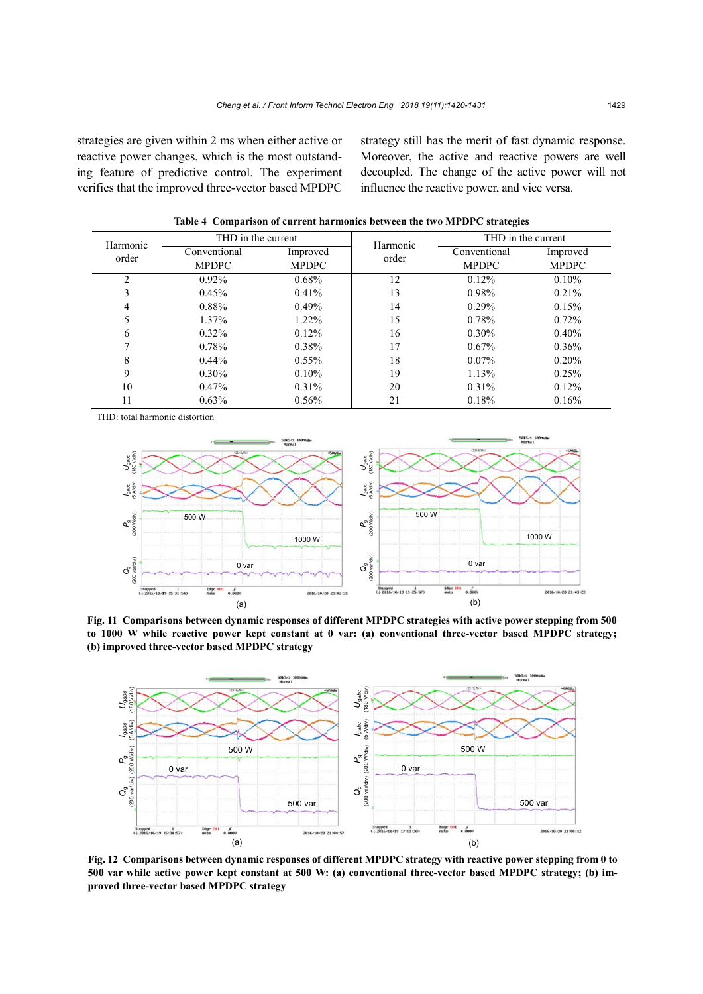strategies are given within 2 ms when either active or reactive power changes, which is the most outstanding feature of predictive control. The experiment verifies that the improved three-vector based MPDPC

strategy still has the merit of fast dynamic response. Moreover, the active and reactive powers are well decoupled. The change of the active power will not influence the reactive power, and vice versa.

| Harmonic<br>order | THD in the current |              | Harmonic | THD in the current |              |
|-------------------|--------------------|--------------|----------|--------------------|--------------|
|                   | Conventional       | Improved     | order    | Conventional       | Improved     |
|                   | <b>MPDPC</b>       | <b>MPDPC</b> |          | <b>MPDPC</b>       | <b>MPDPC</b> |
| $\mathfrak{D}$    | $0.92\%$           | $0.68\%$     | 12       | 0.12%              | $0.10\%$     |
| 3                 | $0.45\%$           | $0.41\%$     | 13       | 0.98%              | $0.21\%$     |
| 4                 | $0.88\%$           | $0.49\%$     | 14       | 0.29%              | 0.15%        |
| 5                 | $1.37\%$           | $1.22\%$     | 15       | 0.78%              | $0.72\%$     |
| 6                 | $0.32\%$           | 0.12%        | 16       | $0.30\%$           | 0.40%        |
|                   | $0.78\%$           | $0.38\%$     | 17       | 0.67%              | $0.36\%$     |
| 8                 | $0.44\%$           | $0.55\%$     | 18       | $0.07\%$           | 0.20%        |
| 9                 | $0.30\%$           | $0.10\%$     | 19       | 1.13%              | 0.25%        |
| 10                | $0.47\%$           | $0.31\%$     | 20       | 0.31%              | 0.12%        |
| 11                | 0.63%              | $0.56\%$     | 21       | 0.18%              | 0.16%        |

**Table 4 Comparison of current harmonics between the two MPDPC strategies**

THD: total harmonic distortion



**Fig. 11 Comparisons between dynamic responses of different MPDPC strategies with active power stepping from 500 to 1000 W while reactive power kept constant at 0 var: (a) conventional three-vector based MPDPC strategy; (b) improved three-vector based MPDPC strategy**



**Fig. 12 Comparisons between dynamic responses of different MPDPC strategy with reactive power stepping from 0 to 500 var while active power kept constant at 500 W: (a) conventional three-vector based MPDPC strategy; (b) improved three-vector based MPDPC strategy**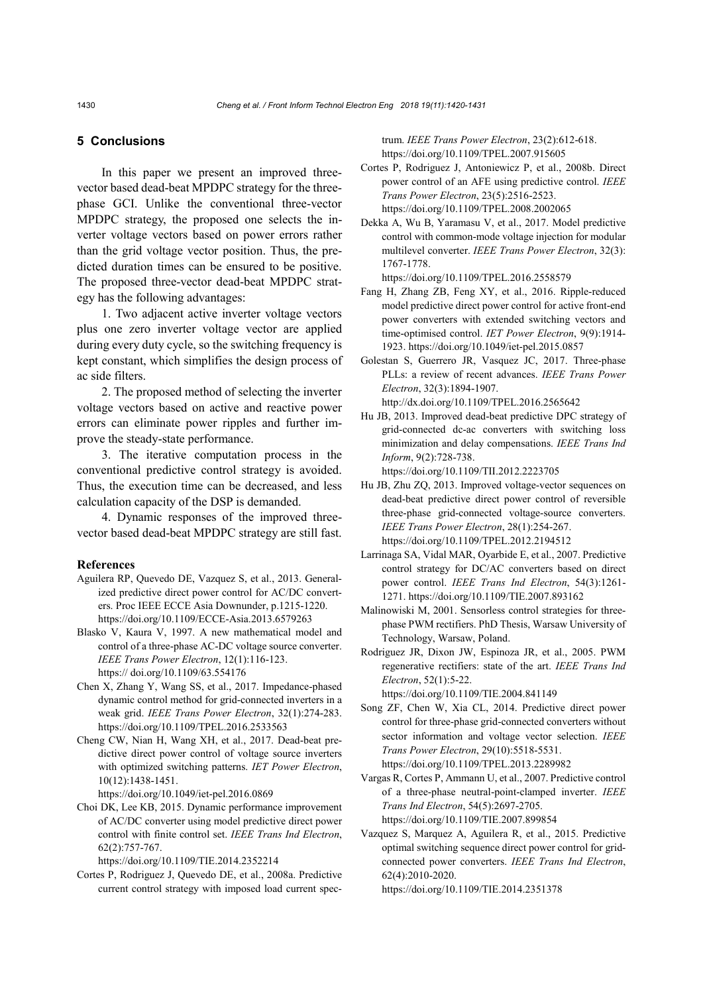# **5 Conclusions**

In this paper we present an improved threevector based dead-beat MPDPC strategy for the threephase GCI. Unlike the conventional three-vector MPDPC strategy, the proposed one selects the inverter voltage vectors based on power errors rather than the grid voltage vector position. Thus, the predicted duration times can be ensured to be positive. The proposed three-vector dead-beat MPDPC strategy has the following advantages:

1. Two adjacent active inverter voltage vectors plus one zero inverter voltage vector are applied during every duty cycle, so the switching frequency is kept constant, which simplifies the design process of ac side filters.

2. The proposed method of selecting the inverter voltage vectors based on active and reactive power errors can eliminate power ripples and further improve the steady-state performance.

3. The iterative computation process in the conventional predictive control strategy is avoided. Thus, the execution time can be decreased, and less calculation capacity of the DSP is demanded.

4. Dynamic responses of the improved threevector based dead-beat MPDPC strategy are still fast.

# **References**

- Aguilera RP, Quevedo DE, Vazquez S, et al., 2013. Generalized predictive direct power control for AC/DC converters. Proc IEEE ECCE Asia Downunder, p.1215-1220. https://doi.org/10.1109/ECCE-Asia.2013.6579263
- Blasko V, Kaura V, 1997. A new mathematical model and control of a three-phase AC-DC voltage source converter. *IEEE Trans Power Electron*, 12(1):116-123. https:// doi.org/10.1109/63.554176
- Chen X, Zhang Y, Wang SS, et al., 2017. Impedance-phased dynamic control method for grid-connected inverters in a weak grid. *IEEE Trans Power Electron*, 32(1):274-283. https://doi.org/10.1109/TPEL.2016.2533563
- Cheng CW, Nian H, Wang XH, et al., 2017. Dead-beat predictive direct power control of voltage source inverters with optimized switching patterns. *IET Power Electron*, 10(12):1438-1451.

https://doi.org/10.1049/iet-pel.2016.0869

Choi DK, Lee KB, 2015. Dynamic performance improvement of AC/DC converter using model predictive direct power control with finite control set. *IEEE Trans Ind Electron*, 62(2):757-767.

https://doi.org/10.1109/TIE.2014.2352214

Cortes P, Rodriguez J, Quevedo DE, et al., 2008a. Predictive current control strategy with imposed load current spectrum. *IEEE Trans Power Electron*, 23(2):612-618. https://doi.org/10.1109/TPEL.2007.915605

- Cortes P, Rodriguez J, Antoniewicz P, et al., 2008b. Direct power control of an AFE using predictive control. *IEEE Trans Power Electron*, 23(5):2516-2523. https://doi.org/10.1109/TPEL.2008.2002065
- Dekka A, Wu B, Yaramasu V, et al., 2017. Model predictive control with common-mode voltage injection for modular multilevel converter. *IEEE Trans Power Electron*, 32(3): 1767-1778.

https://doi.org/10.1109/TPEL.2016.2558579

- Fang H, Zhang ZB, Feng XY, et al., 2016. Ripple-reduced model predictive direct power control for active front-end power converters with extended switching vectors and time-optimised control. *IET Power Electron*, 9(9):1914- 1923. https://doi.org/10.1049/iet-pel.2015.0857
- Golestan S, Guerrero JR, Vasquez JC, 2017. Three-phase PLLs: a review of recent advances. *IEEE Trans Power Electron*, 32(3):1894-1907. http://dx.doi.org/10.1109/TPEL.2016.2565642
- Hu JB, 2013. Improved dead-beat predictive DPC strategy of grid-connected dc-ac converters with switching loss minimization and delay compensations. *IEEE Trans Ind Inform*, 9(2):728-738.

https://doi.org/10.1109/TII.2012.2223705

- Hu JB, Zhu ZQ, 2013. Improved voltage-vector sequences on dead-beat predictive direct power control of reversible three-phase grid-connected voltage-source converters. *IEEE Trans Power Electron*, 28(1):254-267. https://doi.org/10.1109/TPEL.2012.2194512
- Larrinaga SA, Vidal MAR, Oyarbide E, et al., 2007. Predictive control strategy for DC/AC converters based on direct power control. *IEEE Trans Ind Electron*, 54(3):1261- 1271. https://doi.org/10.1109/TIE.2007.893162
- Malinowiski M, 2001. Sensorless control strategies for threephase PWM rectifiers. PhD Thesis, Warsaw University of Technology, Warsaw, Poland.
- Rodriguez JR, Dixon JW, Espinoza JR, et al., 2005. PWM regenerative rectifiers: state of the art. *IEEE Trans Ind Electron*, 52(1):5-22. https://doi.org/10.1109/TIE.2004.841149
- Song ZF, Chen W, Xia CL, 2014. Predictive direct power control for three-phase grid-connected converters without sector information and voltage vector selection. *IEEE Trans Power Electron*, 29(10):5518-5531. https://doi.org/10.1109/TPEL.2013.2289982
- Vargas R, Cortes P, Ammann U, et al., 2007. Predictive control of a three-phase neutral-point-clamped inverter. *IEEE Trans Ind Electron*, 54(5):2697-2705. https://doi.org/10.1109/TIE.2007.899854
- Vazquez S, Marquez A, Aguilera R, et al., 2015. Predictive optimal switching sequence direct power control for gridconnected power converters. *IEEE Trans Ind Electron*, 62(4):2010-2020.

https://doi.org/10.1109/TIE.2014.2351378